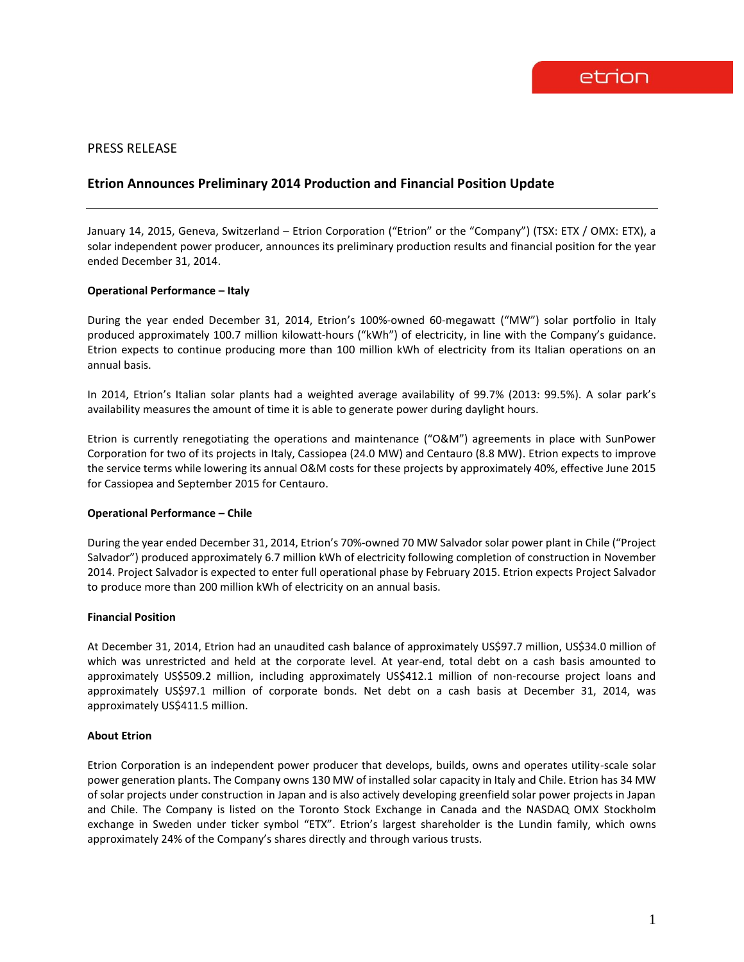# PRESS RELEASE

# **Etrion Announces Preliminary 2014 Production and Financial Position Update**

January 14, 2015, Geneva, Switzerland – Etrion Corporation ("Etrion" or the "Company") (TSX: ETX / OMX: ETX), a solar independent power producer, announces its preliminary production results and financial position for the year ended December 31, 2014.

# **Operational Performance – Italy**

During the year ended December 31, 2014, Etrion's 100%-owned 60-megawatt ("MW") solar portfolio in Italy produced approximately 100.7 million kilowatt-hours ("kWh") of electricity, in line with the Company's guidance. Etrion expects to continue producing more than 100 million kWh of electricity from its Italian operations on an annual basis.

In 2014, Etrion's Italian solar plants had a weighted average availability of 99.7% (2013: 99.5%). A solar park's availability measures the amount of time it is able to generate power during daylight hours.

Etrion is currently renegotiating the operations and maintenance ("O&M") agreements in place with SunPower Corporation for two of its projects in Italy, Cassiopea (24.0 MW) and Centauro (8.8 MW). Etrion expects to improve the service terms while lowering its annual O&M costs for these projects by approximately 40%, effective June 2015 for Cassiopea and September 2015 for Centauro.

# **Operational Performance – Chile**

During the year ended December 31, 2014, Etrion's 70%-owned 70 MW Salvador solar power plant in Chile ("Project Salvador") produced approximately 6.7 million kWh of electricity following completion of construction in November 2014. Project Salvador is expected to enter full operational phase by February 2015. Etrion expects Project Salvador to produce more than 200 million kWh of electricity on an annual basis.

# **Financial Position**

At December 31, 2014, Etrion had an unaudited cash balance of approximately US\$97.7 million, US\$34.0 million of which was unrestricted and held at the corporate level. At year-end, total debt on a cash basis amounted to approximately US\$509.2 million, including approximately US\$412.1 million of non-recourse project loans and approximately US\$97.1 million of corporate bonds. Net debt on a cash basis at December 31, 2014, was approximately US\$411.5 million.

# **About Etrion**

Etrion Corporation is an independent power producer that develops, builds, owns and operates utility-scale solar power generation plants. The Company owns 130 MW of installed solar capacity in Italy and Chile. Etrion has 34 MW of solar projects under construction in Japan and is also actively developing greenfield solar power projects in Japan and Chile. The Company is listed on the Toronto Stock Exchange in Canada and the NASDAQ OMX Stockholm exchange in Sweden under ticker symbol "ETX". Etrion's largest shareholder is the Lundin family, which owns approximately 24% of the Company's shares directly and through various trusts.